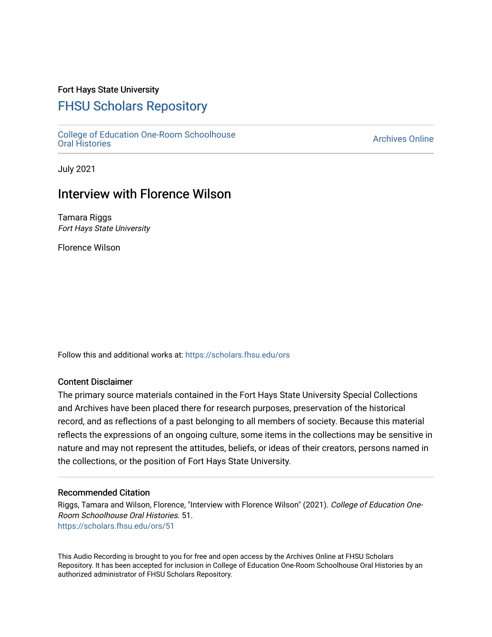### Fort Hays State University

# [FHSU Scholars Repository](https://scholars.fhsu.edu/)

[College of Education One-Room Schoolhouse](https://scholars.fhsu.edu/ors)<br>Oral Histories College of Education Orle-Room Schoolhouse<br>[Oral Histories](https://scholars.fhsu.edu/ors) Archives Online

July 2021

## Interview with Florence Wilson

Tamara Riggs Fort Hays State University

Florence Wilson

Follow this and additional works at: [https://scholars.fhsu.edu/ors](https://scholars.fhsu.edu/ors?utm_source=scholars.fhsu.edu%2Fors%2F51&utm_medium=PDF&utm_campaign=PDFCoverPages) 

#### Content Disclaimer

The primary source materials contained in the Fort Hays State University Special Collections and Archives have been placed there for research purposes, preservation of the historical record, and as reflections of a past belonging to all members of society. Because this material reflects the expressions of an ongoing culture, some items in the collections may be sensitive in nature and may not represent the attitudes, beliefs, or ideas of their creators, persons named in the collections, or the position of Fort Hays State University.

#### Recommended Citation

Riggs, Tamara and Wilson, Florence, "Interview with Florence Wilson" (2021). College of Education One-Room Schoolhouse Oral Histories. 51. [https://scholars.fhsu.edu/ors/51](https://scholars.fhsu.edu/ors/51?utm_source=scholars.fhsu.edu%2Fors%2F51&utm_medium=PDF&utm_campaign=PDFCoverPages)

This Audio Recording is brought to you for free and open access by the Archives Online at FHSU Scholars Repository. It has been accepted for inclusion in College of Education One-Room Schoolhouse Oral Histories by an authorized administrator of FHSU Scholars Repository.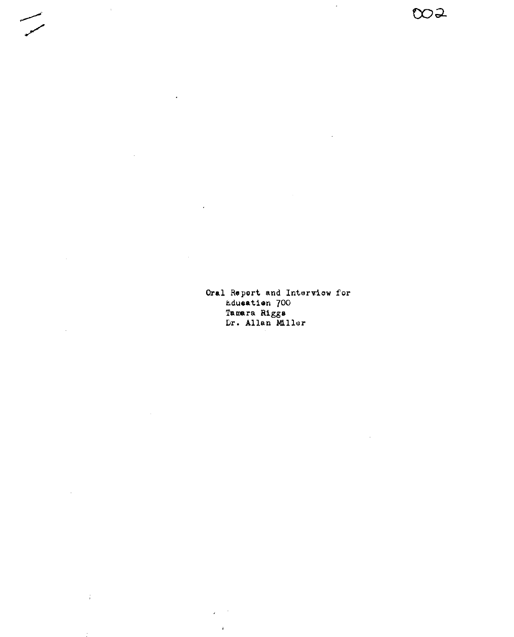**Oral** Report and Interview for i,.duoatien 700 Tamara Riggs Dr. Allan Miller

 $\mathbb{Z}$ 

002

 $\Delta$ 

 $\mathcal{L}_{\mathcal{A}}$ 

 $\sim$ 

 $\frac{1}{4}$ 

 $\ddot{\phantom{0}}$ 

 $\mathbb{R}^2$ 

 $\sim$   $\sim$ 

 $\mathbf{r}$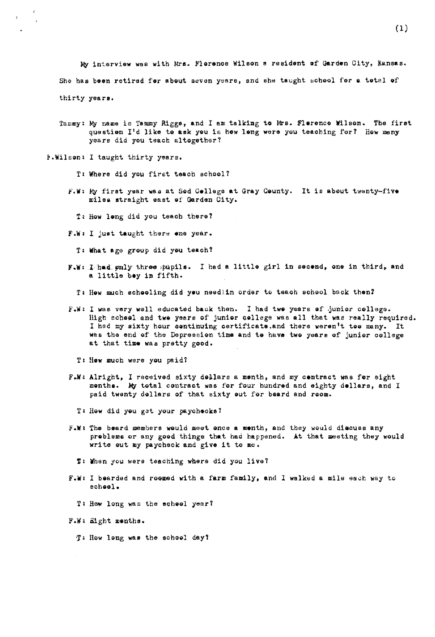My interview was with Mrs. Florence Wilson a resident of Garden City, Kansas. She baa been retired fer about eevan years, and she taught echeol for **a** total cf thirty years.

- Tammy: My name is Tammy Riggs, and I am talking to Mrs. Flerence Wilson. The first questien I'd like te **ask** you is hew Ieng wen you teaching for? l!ow many years did you teach altogether?
- P.Wilson: I taught thirty years.
	- T• Where did you first teach school?
	- F.W: My first year was at Sed Cellege at Gray County. It is about twenty-five miles straight east of Garden City.
		- T: How long did you teach there?
	- **F.W1** I just taught therd **ane** year.
		- T, **What** age group did you teach?
	- **F.W.** I had enly three pupils. I had a little girl in secend, one in third, and a little bay in fifth,
		- T: How much schooling did you needlin order to teach school back then?
	- F.W: I was very well educated back then. I had twe years of junior college. High echeel and twe years of junier cellege was all that was really required. I had my sixty hour centinuing certificate, and there weren't tee many. It was the end of the Depression time and te have two years of junior college at that time was pretty good.
		- T: Hew much were you paid?
	- F.W: Alright, I received sixty dellars a menth, and my centract was fer eight menths. My total contract was for four hundred and eighty dellars, and I paid twenty dollars of that sixty eut for beard and reom.
		- TI liew did yeu g3t your paychecks *1*
	- F.W: The beard members would meet once a menth, and they would discuss any preblema or any good things **that** had happened. At that meeting they would write out my paycheck and **give** it to me.
		- **ti** When you were teaching waere did you live?
	- **F.1111** I bearded and roomed with e. farm family, and I walked a mile ea¢b way to echool.
		- T: How long was the scheel year?
	- F.W: Eight menths.
		- '£ How Ieng **was** the echoal day?

(1)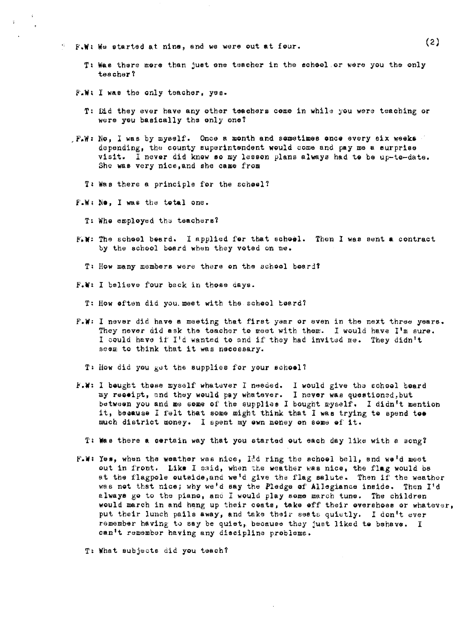- **F.W: We atarted at nine, and we were out at four.** 
	- T1 **Wae** there more than just one teacher in the school or were you the only teacher?
	- F.W. I was the only teacher, yes.

 $\bar{\mathbf{x}}$ 

- T1 Did they ever have any other teachers come in whild you were teaching or were you basically the only one?
- $\mathbb{F}_{\bullet}\mathbb{W}$ : No, I was by myself. Once a month and sometimes once every six weeks depending, the county superintendent would come and pay me a surprise visit. I never did know **ao** my lesson plane always had te be up-to-date. She was very nice,and she came from
	- T: Was there a principle for the school?
- F.W. Ne, I was the total one.
	- T: Whe employed the teachers?
- **FIM: The scheol beard.** I applied for that scheol. Then I was sent a contract by the school board when they voted on me.
	- T: How many members were there on the school board?
- F.W: I believe four back in those days.
	- T: How eften did you. meet with the scheol beard?
- **F.w,** I never did have a meeting that firet year or even in the next three years. They never did ask the teacher to meet with them. I would have  $I<sup>1</sup>m$  sure. I could have if I'd wanted to and if they had invited me. They didn't seem to think that it was necessary.
	- T: How did you get the supplies for your school?
- F.W: I beught these myself whatever I needed. I would give the school board my reoeipt, and they would pay whatever. I never was questioned,but between you and me some of the supplies I bought myself. I didn't mention it, because I felt that some might think that I was trying to spend toe much district money. I spent my own money on some of it.
	- T: **Wae** there **a** certain way that you startod out each day like with a aongt
- F.W: Yes, when the weather was nice, Id ring the school bell, and we'd meet out in front. Like I said, when the weather was nice, the flag would be at the flagpole outside, and we'd give the flag salute. Then if the weather was not that nice; why we'd say the Pledge of Allegiance inside. Then I'd always go to the piano, and I would play some march tune. The children would march in and hang up their ceate, take eff their overshoes or whatever, put their lunch pails away, and take their seats quietly. I don't ever remember having to say be quiet, because they just liked to behave. I can't remember having any discipline problems.

T• What subjects did you teach?

(2)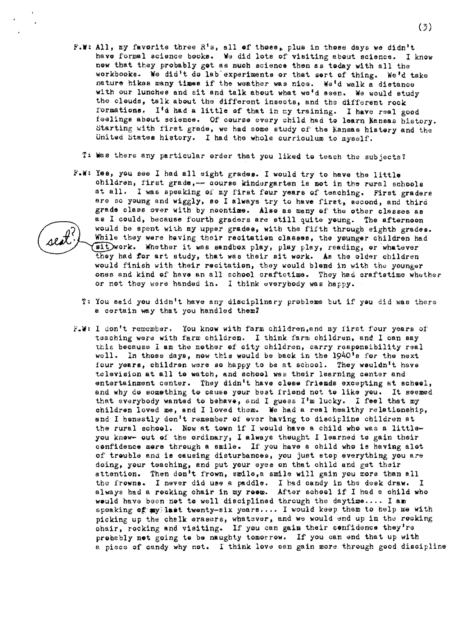- $(3)$
- F.W: All, my favorite three R's, all of those<sub>s</sub> plus in those days we didn't have formal science books. We did lots of visiting about science. I know now that they probably got as much science then as today with all the workbooks. We did't do lab experiments or that sort of thing. We'd take nature hikes many times if the weather was nice. We'd walk a distance with our lunches and sit and talk about what we'd seen. We would study the cleuds, talk about the different insects, and the different rock formations. I'd had **a** little of that in my training. I have real good feelings about science. Of course every child had to learn Kansas history. Starting with first grade, we had some study of the Kansas history and the United States hietory. I had the whole curriculum to myself,
	- T: Was there any particular order that you liked to teach the subjects?
- F.W: Yes, you see I had all eight grades. I would try to have the little children, first grade,-- course kindergarten is met in the rural schools at all. I was speaking of my first four years of teaching. First graders are so young and wiggly, so I always try to have first, second, and third grade claee over with by noontime. Aleo as many of the other classes as as I could, because fourth graders are still quite yeung. The afternoon would be spent with my upper grades, with the fifth through eighth grades. While thay were having their recitation classes, the younger children had sit work. Whether it was sandbox play, play play, reading, or whatever they had *tor* art study, that was their sit work. As the older children would finish with their recitation, they would blend in with the younger ones and kind of have an all school craftstime. They had craftstime whether or not they were handed in. I think everybody was happy.
	- T: You said you didn 1t have any disciplinary prgblems but if you did was there e certain way that you handled them?
- F.W: I don't remember. You know with farm children, and my first four years of teaching were with farm children. I think farm children, and I can say this because I am the mother of city children, carry responsibility real well. In those days, now this would be back in the 1940's for the next four years, children were so happy to be at school. They wouldn't have television at all to watch, and school was their learning center and entertainment center. They didn<sup>1</sup>t have close friends excepting at school, and why do something to cause your best friend not to lika you. It seemed that everybody wanted to behave, snd I guess I'm lucky, I feel that my children loved me, and I loved them, **Ve** had a real healthy relationebip, and I honestly don't remember of ever having to discipline children at the rural scheol, Now at town if I would have a child who was a littleyou know- out of the ordinary, I alwaye thought I learned to gain their confidence more through a smile. If you have a child who ie having alot of trouble and **is** causing disturbances, you just stop everything you are doing, your teaching, and put your eyes on that child and get their attention. Then don't frown, smile, a smile will gain you more than all the frowns. I never did use a paddle. I had candy in the desk draw. I always had a rocking chair in my **reom.** After school if I bad a child who weuld have been not to well disciplined through the daytime.... I am speaking of my last twenty-six years .... I would keep them to help me with picking up the chalk erasers, whatever, and we would end up in the rocking chair, rocking and visiting. If you can gain their confidence they're probably **not** going te be naughty tomorrow. If you can end that up with a piece of candy why not. I think love can gain more through good discipline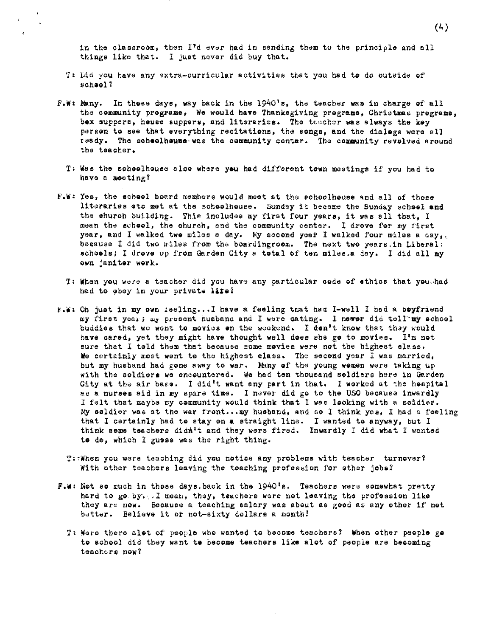in the classroom, then I<sup>\*</sup>d ever had in sending them to the principle and all things like that. I just never did buy that.

- T: Did you have any extra-curricular activities that you had to do outside of r,cheol?
- F.W: Many. In these days, way back in the 1940's, the teacher was in charge of all the community programs, We would have Thanksgiving programs, Christmas programs, bex suppers, heuse suppers, and literaries. The teacher was slways the key person to sea that everything recitations, the songs, and the dialege were all ready. The scheolhause was the community center. The community revolved around the teacher.
	- T: Was the scheelhouse also where you had different town meetings if you had to have a meeting?
- F.w, Yes, the echeol board members would meet at the echoolheuse and all of those literaries eto met at the schoolhouse. Sunday it became the Sunday school and the ehuroh building. This includes my first four years, it was all that, I mean the acheol, the ohuroh, and the community center, I drove for my first year, and I walked two miles a day. My second year I walked four miles a day<sub>th</sub> because I did two miles from the boardingroom. The next two years.in Liberal, schools; I drove up from Garden City a total of ten miles.a day. I did all my own janiter work.
	- T: When you were a teacher did you have any particular code of ethics that you, had had to obey in your private life?
- **F.W:** Oh just in my own ieeling...I have a feeling tnat had I-well I had a poyfriend my first yea,;  $\mu$ y present husband and I were dating. I newer did tell my school buddies that we went to movies on the weekend. I don't know that they would have cared, yet they might have thought well does she go to movies. I'm not sure that I told them that because some movies were not the highest class. We certainly most went to the highest class. The second year I was married, but my husband had gone away to war. Many of the young wemen were taking up with the soldiers we encountered. We had ten thousand soldiers here in Garden City at the air base. I did't want any part in that. I worked at the hospital as a nurses aid in my spare time. I never did go to the USO because inwardly I felt that maybe my community would think that I was looking with a soldier. My seldier was at the war front...my husband, and so I think yes, I had a feeling that I certainly had to stay on **a** straight line. I wanted to anyway, but I think some teachers didn't and they were fired. Inwardly I did what I wanted **te** do, which I guess was the right thing,
	- T: When you were teaching did you notice any problems with teacher turnover? With other teachers leaving the teaching profession for other jobs?
- **F.w,** Not ae much in thoee daye,back in the 1940 1s, Teachers were somewhat pretty hard to go. by.  $I$  mean, they, teachers were not leaving the profession like they ere now. Because a teaching salary was about as good as any other if not better. Believe it ot not-sixty dollars a month!
	- T: Were there alot of people who wanted to become teachers? When other people go to school did they went **ta** become teachers like alot of people are becoming teachers now?

(4)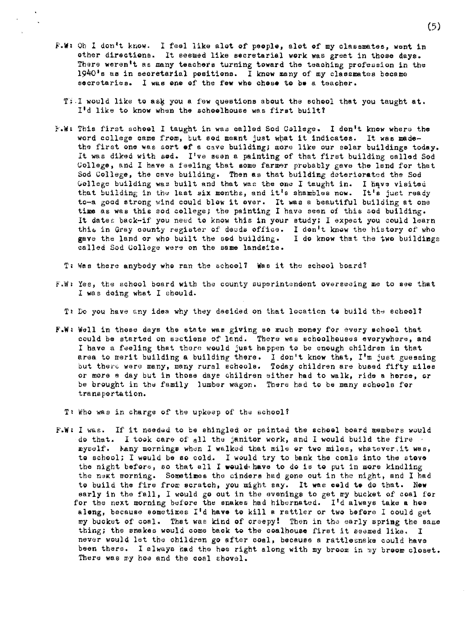- **F.W:** Oh I don't know. I feel like alot of people, alot of my classmates, went in other directions. lt seemed like secretarial work was greet in those days. There weren't as many teachers turning toward the teaching profession in the  $1940$ 's as in secretarial positions. I know many of my classmates became secretaries. I was one of the few who chose to be a teacher.
	- $T$ :I would like to ask you a few questions about the school that you taught at. I'd like to know when the schoolhouse was first built?
- F.W: This first school I taught in was called Sod College. I don't know where the word college came from, but sod meant just what it indicates. It was madethe first one was sort **ef** a cave building; more like our solar buildings today. It was diked with sod. I've seen a painting of that first building called Sod College, and I have a feeling that some farmer probably gave the land for that Sod College, the cave building. Then as that building deteriorated the Sod Gollege building was built and that was the one I taught in. I have visited that building in the last six months, and it's shambles now. It's just ready to-a good strong wind could blow it over. It was a beautiful building at one time as was this sod college; the painting I have seen of this sod building. It dates back-if you need to know this in your study; I expect you could learn this in Gray county register of deeds office. I don't know the history of who gave the land or who built the sod building. I do know that the two buildings called Sod College were on the same landsite.
	- Ti Wee there anybody who ran the school? Was it the echool board?
- F.W, Yes, the school board with the county superintendent overseeing me to see that I was doing what I ehould.
	- T: Do you have any idea why they decided on that location to build the school?
- F.W: Well in those days the state was giving so much money for every school that cculd be started on sections of land. There was schoolhouses everywhere, and I have a feeling that there would just happen to be enough children in that area to merit building a building there. I don't know that, I'm just guessing but there were many, many rural schoole. Today children are bused fifty miles or more a day but in those days children either had to walk, ride a horse, or be brought in the family lumber wagon. There had to be many schools for transportation.
	- T: Who was in charge of the upkeep of the school?
- **F.w,** I was. If it needad to be ehingled or painted the scboel board members would do that. I took care of all the janitor work, and I would build the fire myself. Eany mornings when I walked that mile or two miles, whatever.it was, to school; I would be so cold. I would try to bank the coals into the stove the night before, so that all I would**thave to do is to put in more kindling** the next morning. Sometimes the cinders had gone out in the night, and I had to build the fire from scratch, you might say. It was celd to do that. New early in the fall, I would go out in the evenings to get my bucket of coal for for the next morning before the snakes had hibernated. I'd always take a hos along, because sometimes I 1d **have** to kill a rattler or two before I could get my bucket of coal. That was kind of creepy! Then in the early spring the same thing; the snakes would come back to the coalhouse first it seemed like. I never would let the children go after coal, because a rattlesnake could have been there. I always had the hee right along with my broom in my broom closet. There was my hoe and the coal shovel.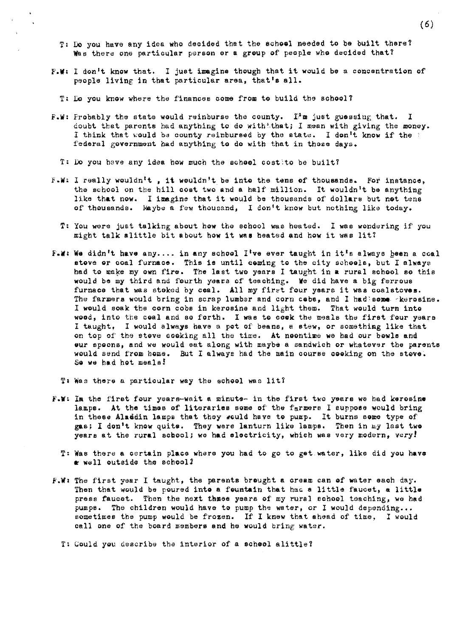- T: Do you have any idea who decided that the school needed to be built there? Was there one particular person or a group of people who decided that?
- **F.w,** I don't know that. I just imagine though that it would be a concentration of people living in that particular area, that's ell.
	- T: Lo you know where the finances come from to build the school?
- **F.W: Probably the state would reinburse the county. I'm just guessing that.** I doubt that parents had anything to do withtthat; I mean with giving the money. I think that would be county reinbursed by the state. I don't know if the  $\frac{1}{2}$ federal government had anything to do with that in those days.
	- T: Do you have any idea how much the school costito be built?
- **r.w:** I really wouldn 1t, **it** wouldn't be into the tens of thousands. For instance, the school on the hill cost two and a half million. It wouldn't be anything like that now. I imagine that it would be thousands of dollars but net tens of thousands. Maybe a few thousand, I don't know but nothing like today.
	- T: You were just talking about how the school was heated. I wae wondering if you might talk &little bit about how it **was** heated and how it was lit?
- F.W: We didn't have any.... in any school I<sup>t</sup>ve ever taught in it<sup>t</sup>s always been a coal stove or coal furnace. This is until coming to the city schools, but I always had to make my own fire. The last two years I taught in a rural school so this would be my third and fourth ydara of teaching. **We** did have a big ferrous furnace that was stoked by coal. All my first four years it was coalstoves. The farmers would bring in scrap lumber and corn cobe, and I had: some skerosine. I would soak tbe corn cobs in kerosine and light them. That would turn into wood, into the coal and so forth. I was to cook the meals the first four years I taught, I would always have a pot of beans, a stew, or something like that on top of the steve coeking all the time. At neontime we had our bewls and vur spoons, and we would eat along with maybe a sandwich or whatever the parents would send from home. But I always had the main course cooking on the stove. So we h&d hot meals!
	- T: Was there a particular way the school was lit?
- F.W: In the first four years-wait a minute- in the first two years we had kerosine lamps. At the times of literaries some of the farmers I suppose would bring in these Aladdin lamps that they would have to pump. It burns some type of gas; I don't know quite. They were lanturn like lamps. Then in  $w$ y last two years at the rural school; we had electricity, which was very modern, very!
	- T: Was there a certain place where you had to go to get water, like did you **have**   $\bullet$  well outside the school?
- F.W: The first year I taught, the parents brought a cream can of water each day. Then that would be poured into a fountain that had a little faucet, a little press faucet. Then the next three years of my rural school teaching, we had pumps. The children would have to pump the water, or I would depending... sometimes the pump would be frozen. If I knew that ahead of time, I would call one of the board members and he would bring water.
	- T: Could you describe the interior of a school alittle?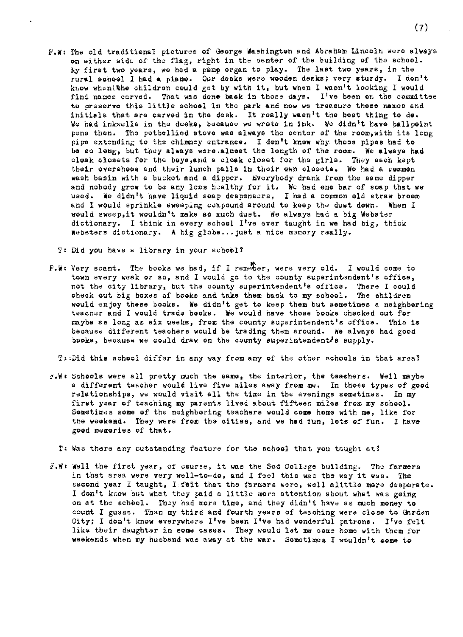**F,W:** The old traditional pictures of George Washington and Abraham Lincoln were always on either side of the flag, right in the center of the building of the school. My first two years, we had a pmmp organ to play. The last two years, in the rural school I bad **a** piano. Our desks were wooden desks; very sturdy. I don't know when the children could get by with it, but when I wasn't leoking I would find names carved. That was done back in those days. I've been on the committee to preserve this little school in the park and now we treasure those names and initials that are carved in the desk. It really wasn't the best thing to de, We had inkwells in the desks, because we wrote in ink. We didn<sup>i</sup>t have ballpoint pens then, The potbellied stove was always the center of the room,with its long pipe extending to the chimney entrance. I don't know why those pipes had to be ao long, but they always were.almost the length of the room. We always had cloak closets for the boya,and s cloak closet for the girls, They each kept their overshoes and their lunch pails in their own closets. We had a common wash basin with a bucket and a dipper. Everybody drank from the same dipper and nobody grew to be any less healthy for it. We had one bar of soap that we used. We didn't have liquid soap despensers, I had a common old straw broom and I would sprinkle sweeping compound around to keep the dust down. When I would sweep,it wouldn't make so much dust. We always had a big Webster dictionary, I think in every school I 1ve ever taught in **we** bad big, thick Websters dictionary. **A** big globe •.• juet a nice memory really.

T: Did you have a library in your school?

F.W: Very scant. The books we had, if I remeber, were very old. I would come to town every week or so, and I would go to the county superintendent's office, not the city library, but the county superintendent's office. There I could check out big boxes of books and take them back to my school. The children would enjoy these books. **We** didn't get to keep them but sometimes a neighboring teacher and I would trade books. We would have those books checked out for maybe as long as six weeks, from the county superintendent's office. This **is**  because different teachers would be trading them around. We always bad good books, because we could draw on the county superintendent's supply.

T: Did this school differ in any way from any of the other schools in that area?

F.W: Schools were all pretty much the same, the interior, the teachers. Well maybe a different teacher would live five miles away from me. In thoae types of good relationships, we would visit all the time in the evenings sometimes. In my first year of teaching my parents lived about fifteen miles from my school. Sometimes some of the neighboring teachers would come home with me, like for the weakend. They were from the cities, and we had fun, lots of fun. I have good memories of that.

T: Was there any outstanding feature for the school that you taught at?

**F.W,** Well the first yeer, of course, it was the Sod College building. The farmers in that area were very well-to-do, and I feel this was the way it was. The second year I taught, I felt that the farmers were, well alittle more desperate. I don't know but what they paid a little more attention about what was going on at the school. They had more time, and they didn't have as much money to count I guess. Then my third and fourth years of teaching were close to Garden City; I don't know everywhere I've been I've had wonderful patrons. I've felt like their daughter in some cases. They would let me come home with them for weekends when my husband was away at the war. Sometimes I wouldn't some to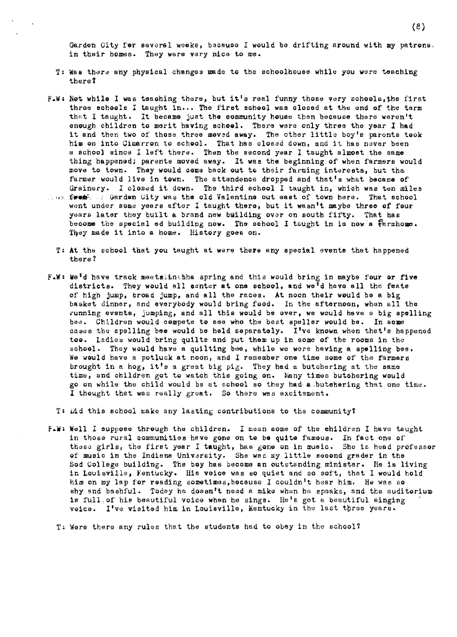Garden City for several weeks, because I would be drifting around with my patrons. in their homes. They were very nice to me.

- T, Was there any physical changes made to the schoolhouse while you were teaching tberef
- F.W: Not while I was teaching there, but it's real funny those very schools, the first three schools I taught in... The first school was closed at the end of the term that I taught. It became just the community house then because there weren't enough children to merit having **school,** There were only three the year I had it and then two of those three movad **away,** The other little boy <sup>1</sup>e parents took him on into Cimarron to school. That has closed down, and it has never been a school since I left there, Than the second year I taught almost the same thing happened; parents moved away. It waa the beginning of when farmers would move to town, They would come back out to their farming interests, but tha farmer would live in town. The attendence dropped and that's what became of Grainery. I closed it down. The third school I taught in, which was ten miles
- <sup>~</sup>"'' **f•uuit<.** Gard"n Uity was the old Valentine out east of town here. That school went under some years after I taught there, but it wasn't maybe three of four years later they built a brand new building over on south fifty. That has become the special ed building now. The school I taught in is now a  $\mathbb F$  armhome. They made it into a home. History goes on.
	- T, **At** the school that you taught at were there any special evente that happened there?
- F.W: We<sup>i</sup>d have track meetsiinthhe spring and this would bring in maybe four or five dietricts. They would all center at one school, and we'd have all the feats of high jump, broad jump, and all the races, At noon their would be a big basket dinner, and everybody would bring food. In the afternoon, when all the running events, jumping, and all this would be over, we would have a big spelling bee. Children would compete to see who the best speller would be. In some cases the spelling bee would be held separately. I've known when that's happened **toa.** ladies would bring quilts and put them up in some of the rooms in the school. They would have a quilting bee, while we were having a spelling bee. We would have a potluck at noon, and I remember one time some of the farmers brought in a hog, it's a great big pig. They had a butchering at the same time, and children got to watch this going on. Wany times butchering would go on while the child would be at school so they had a.butohoring that one time. I thought that was really great. So there was excitement.
	- T: iid this school make any lasting contributions to the community?
- **l',Wl** Well I suppose through the children, I mean some of the children I have taught in those rural communities have gone on to **be** quite famous, In fact one of these girls, the first year I taught, has gone on in music. She is head professor *Qf* music in the Indiana Univarsity, She was my little second grader in the Sod College building. The boy has become an outstanding minister. Ile is living in Louisville, fentucky. His voice was so quiet and so soft, that I would hold him on my lap for reading sometimes,because I couldn't hear him, Ile was so ahy and bashful. Today be doesn't need a mike when be epeaks, and the auditorium is full, of hie beautiful voice when he sings. He's got a beautiful singing voice. I've visited him in Louieville, Kentucky in the last three years.

T, Were there any rules that the students had to obey in the school1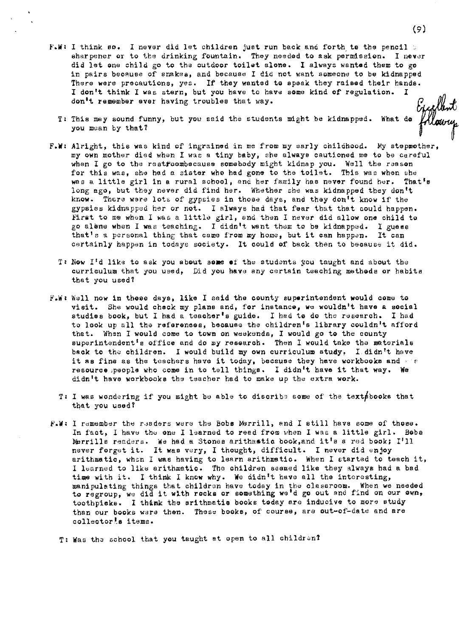- F.W: I think so. I never did let children just run back and forth to the pencil a sharpener or to the drinking fountain. They needed to ask permission. I never did let one child go to the outdoor toilet alone. I always wanted them to go in pairs because of snakes, and because I did not want semeone to be kidnapped There were precautions, yes. If they wanted to speak they raised their hands. I don't think I was stern, but you have to hava some kind of regulation. I don't remember ever having troubles that way.
	- T• This may sound funny, but you said the students might be kidnapped. What do you mean by that?
- **F,W:** Alright, this was kind of ingrained in me from my early childhood. My stepmother, my own mother died when I was a tiny baby, she always cautioned me to be careful when I go to the reatroombecause somebody might kidnap you. Well the reason for this was, she had a sister who had gone to the toilet. This was when she was a little girl in a rural school, and her family has never found her. That's long ago, but they never did find her. Whether she was kidnapped they don't know. There were lots of gypsies in those days, and they don't know if the gypsies kidnapped her or not. I always bad that fear that that could happen. First to me when I was a little girl, and then I never did allow one child to go alene when I was teaching. I didn't want them to be kidnapped. I guess that's a personal thing that came from my home, but it can happen. It can certainly happen in todays society. It could of back then to because it did.
	- T: Now I'd like to ask you about some of the students you taught and about the curriculum that you used, Did you have any certain teaching metbeda or habita that you used?
- F.W: Well now in these days, like I said the county superintendent would come to visit. She would check my plans and, for instance, we wouldn't have a social studies book, but I had a teacher's guide. I had to do the research. I had to look up all the references, because the children's library couldn't afford that, When I would come to town on weekenda, I would go to the county superintendent's office and do my research. Then I would take the materials back to the children. I would build my own curriculum study, I didn't have it as fine as the teachers have it today, because they have workbooks and  $\sim e$ resource , people who come in to tell things. I didn't have it that way. We didn't have workbooke the teacher had to make up the extra work.
	- T: I was wondering if you might be able to discribe some of the textpbooks that that you used?
- **F.W: I remember the readers were the Bobs Merrill, and I still have some of these.** In fact, I have the one I learned to read from when I was a little girl. Bobs Merrills readers. We had a Stones arithmetic book, and it<sup>1</sup>s a red book;  $I<sup>t</sup>11$ never forget it. It was very, I thought, difficult. I never did enjoy arithmatic, when I was having to learn arithmatic. When I started to teach it, I learned to like arithmatic. The children seemed like they always had a bad time with it. I think I know why. We didn't have all the interesting, manipulating things that children have today in the classroom. When we needed to regroup, we did it with rocks or something we'd go out and find on our own, toothpicks. I think the arithmatic books today are inducive to more study than our books ware then. These books, of course, are out-of-date and are collector!e items.
	- T: Was the school that you taught at open to all children?

(9)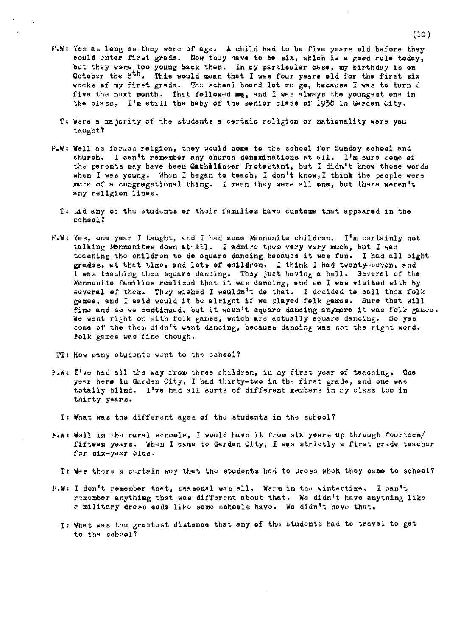- F.w, Yes as long as they were of age. **A** child had to be five years old before they could enter first grade. Now they heve to be six, wh1oh is a goad rule today, but they weng too young back then. In my particular case, my birthday is on October the  $8<sup>th</sup>$ . This would mean that I was four years old for the first six weeks of my firet grade. The school board let me go, because I was to turn *(* five the next month. That fellowed me, and I was always the youngest one in the class. I'm still the baby of the senior class of  $1938$  in Garden City.
	- T: Ware a majority of the students a certain religion or nationality were you taught?
- F.W: Well as far…as relgion, they would come to the school for Sunday school and church. I can't remember any church dememinations at all. I'm sure some of the parents may have been Gatheliceor Protestant, but I didn<sup>i</sup>t know those words when I wee young. When I began to toach, I don't know, I think the people were more of a congregational thing. I mean they were all one, but there weren't any religion lines.
	- T: iid any of the students or their families have customs that appeared in the school?
- $F.W: Yes, one year I taught, and I had some Mannonite children. If n corresponds to the other hand, the number of elements are 1.$ talking Mennenites down at all. I admire them very very much, but I was teaching the children to do square dancing because it was fun. I had all eight grades, at that time, and lots of children. I think I had twenty-eeven, and 1 was teaching them square dancing. They juet having a ball, Several of the Mennonite families realized that it was dancing, and so I was visited with by several of them. They wished I wouldn't do that. I decided to call them folk games, and I said would it be alright if we played folk gamea. Sure that will fine and so we continued, but it wasn't square danoing anymore it was folk games. We went right on with folk games, which are actually square dancing. So yes some of the them didn't want dancing, because dancing was not the right word. Folk games was fine though.

TT: How many students went to the school?

- F.W: I've had all the way from three children, in my first year of teaching. One year hers in Garden City, I had thirty-two in the first grade, and one was totally blind. I've had all sorts of different members in my class too in thirty years,
	- T: What was the different ages of the students in the school?
- **F.W: Well in the rural schools, I would have it from six years up through fourteen/** fifteen years. Whon l came to Garden City, I was strictly a first grade teacher for eix-year olds,
	- Tl Was there a certein way that the students had to dress wheb they came to school?
- I don't remember that, seasonal was all. Warm in the wintertime. I can't remember anythimg that was different about that. We didn't have anything like e military dress code like some schools have. We didn't have that.
	- T• What was the greatost distance that any **of** the students had to travel to get to the school *1*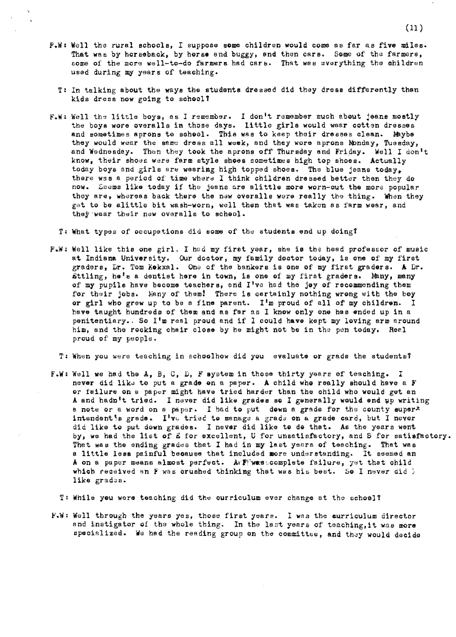- F.Wt Well the rural ecboole, I suppose some children would come as far as **five** miles. That was by horseback, by horse and buggy, and then cars. Some of the farmers, some of the more well-to-do farmers had cars. That was everything the children used during my years of teaching.
	- T: In talking about the ways the students dressed did they dress differently than kids dress now going to school?
- F.W: Well the little boys, as I remember. I don<sup>1</sup>t remember much about jeans mostly the boys wore overalls in those days. little girls would wear cotten dresses and sometimes aprons to school. This was to keep their dresses clean. Maybe they would wear the same dress all week, and they wore aprons Monday, Tuesday, and Wednesday. Then they took the aprons off Thursday and Friday. Well I don't know, their shoes were farm style shoes sometimes high top shoes. Actually today boys and girls are wearing high topped shoes. The blue jeans today, there was a period of time where I think children dressed better then they do now. Seems like today if the jeans are alittle more worn-out the more popular they are, whereas back there the new overalls were really the thing. When they get to be alittle bit wash-worn, well then that was taken as farm wear, and they wear their new overalls to school.

T, What types of occupations did some of the students end up doing!

- F.W: Well like this one girl. I had my first year, she is the head professor of music at Indiana University, Our doctor, my family doctor today, is one of my first graders, Dr, Tom Kokxal. One of the bankers ia one of my first graders. **A** Dr.  $\tilde{\textbf{s}}$ ttling, he<sup>t</sup>s a dentist here in town, is one of my first graders. Many, many of my pupils have become teachers, end I've bad the joy of recommending them for their jobs. Many of them! There is certainly nothing wrong with the boy or girl who grew up to be a fine parent. I'm proud of all of my children. I have taught hundreds of them and as far as I know only one has ended up in a penitentiary. So I'm real proud and if I could have kept my loving arm around him, and the rocking chair close by he might not be in the pen today. Real proud of my people.
	- T: When you were teaching in schoolhow did you evaluate or grade the students'
- F.W: Well we had the A, B, C, D, F system in those thirty years of teaching. I never did like to put a grade on a paper. A child who really should have a F or failure on a paper might have tried harder than the child who would get an A and hadn't tried. I never did like grades so I generally would end up writing a note or a word on a paper. I had to put down a grade for the county super<sup>x</sup> intendent;<sup>s</sup>a grade. I've tried to manage a grade on a grade card, but I never did like to put down grades. I never did like to do that. As the years went by, we had the list of E for excellent, U for unsatisfactory, and S for satisfactory. That was the ending grades that I had in my last years of teaching. That was a little less painful because that included more understanding. It seemed an A on a paper means almost perfect. ArFlwas.complete failure, yet that child which received an **F** was crushed thinking that was his best. So I never did ; like grades.

T: While you were teaching did the curriculum ever change at the school?

F.W: Well through the years yes, those first years. I was the curriculum director and instigator of the whole thing, In the lset years of teaching,it wua **more**  specialized. We had the reading group on the committee, and they would decide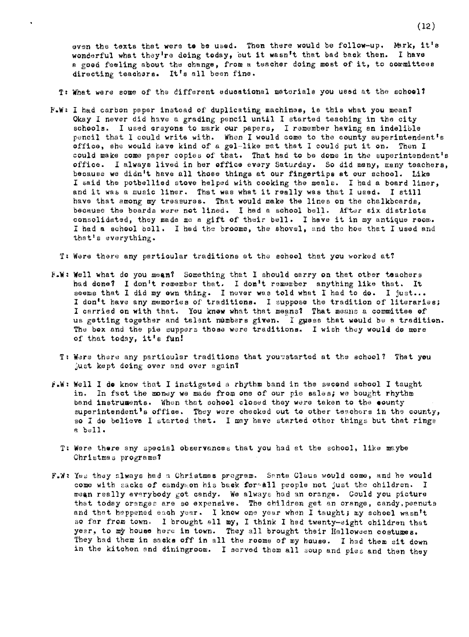even the texts that were to be used. Then there would be follow-up. Mark, it's wonderful what they're doing today, out it wasn't that bad back then. I have a good feeling about the change, from a teacher doing most of it, to committees directing teachers. It's all been fine,

T: What were some of the diffarent educational materials you used at the schoolt

 $\ddot{\phantom{a}}$ 

**F.w,** I had carbon paper instead of duplicating machines, is this what you mean? Okay I never did have a grading pencil until I started teaching in the city schools. I used crayons to mark our papers, I remember having an indelible pencil that I could write with. When I would come to the county superintendent's office, she would have kind of a gel-like mat that I could put it on. Then I could make come paper copies of that, That had to be done in the superintendent's office. I always lived in her office every Saturday. So did many, many teachers, because we didn't have all those things at our fingertips at our school, Like I said the potbellied stove helped with cooking the meals. I had a board liner, and it was a music liner. That was what it really was that I used. I still have that among my treasures. That **would** make the lines on the chalkboards, because the boards were **not** lined. I bad a school bell. After six districts consolidated, they made me a gift of their bell. I have it in my antique room. I had a school bell. I had the brooms, the shovel, and the hoe that I used and that's everything.

T: Were there any particular traditions at the eohool that **you** worked at?

- F.W: Well what do you mean? Something that I should carry on that other teachers had done? I don't remember that. I don't remember anything like that. It seems that I did my own thing. I never was told what I had to do. I just... <sup>I</sup>don't have any memories of traditions. I suppose the tradition of literaries; I carried on with that. You knew what that means? That means a committee of ue getting together and talent numbers given. I gµess that weuld be a tradition. The box and the pie suppera those were traditions. I wish they would do more of that today, it's fun!
	- T: Were there any particular traditions that you"atarted at the school? That you just kept doing over and over again?
- $f.W: Well I do know that I instigated a rhythm band in the second school I taught$ in. In fact the money we made from one of our pie sales; we bought rhythm band instruments. When thst school closed they were taken to the **eounty**  superintendent<sup>1</sup>s office. They were checked out to other teachers in the county, so I do believe I started that. I may have started other things but that rings a boll.
	- T: Were thare any special observances that you had et the school, like maybe Christmas programs?
- F.W: Yes they always had a Christmas program. Senta Claus would come, and he would come with sacks of candy on his back for-all people not just the children. I mean really everybody got candy. We always had an orange. Could you picture that today oranges are so expensive. The children get an orange, candy,peenuts and that happened each year. I know one year when I taught; my school wasn't so far from town. l brought all my, I think I bad twenty-eight children that year, to my house here in town. They all brought their Halloween costumes. They had them in sacks off in all the rooms of my house. I had them sit down in the kitchen and diningroom. I served them all soup and pies and then they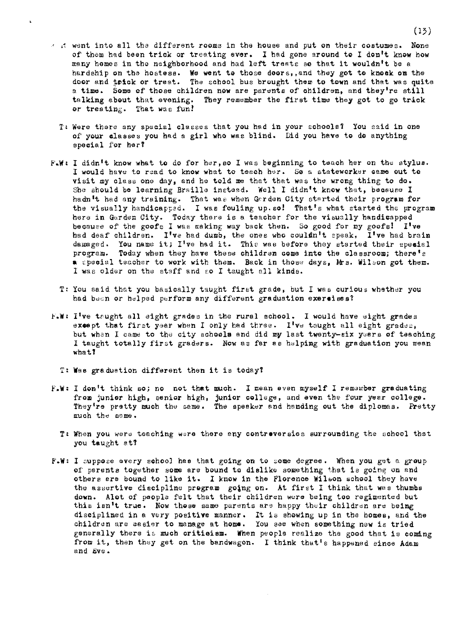- $\alpha$  it went into all the different rooms in the house and put on their costumes. None of them had been trick or treating ever. I had gone around to I don't know how many homes in the neighborhood and had left treats so that it wouldn't be a hardship en the hostesa. We went to those doors,,and they got to knock on the door and trick or treat. The school bus brought them to town and that was quite a time. Some of those children now are parents of children, and they're still a time. Some of those children now are parents of children, and they're still telking about that evening. They remember the first time they got to go trick or treating. That was fun!
	- T: Were there any special classes that you had in your schools? You said in one of your elaases you had a girl who wae blind. Did you have to do anything special for her?
- F.W: I didn<sup>i</sup>t know what to do for her, so I was beginning to teach her on the stylus. I would have to read to **know** what to teach her. So a statsworker came out to visit my class one day, and he told me that that was the wrong thing to do. She should be learning Braille instead. Well I didn <sup>1</sup> t **know** that, because I hadn't had any training. That was when Garden City started their program for the visually handicapped. I was fouling up.so! That's what started the program here in Garden City. Today there is a teacher for the visually handicapped because of the goofs I was making way back then. So good for my goofs! I've had deaf children. I've had dumb, the ones who coulan't epeak, I've had brain damaged. You name it; I've had it. This was before they started their special program. Today when they have these children come into the classroom; there's **a** special teacher to work with them. Back in those days, Mrs. Wilson got them. I was older on the staff and co I taught all kinds.
	- T: You said that you basically taught first grade, but l was curious whether you had been or helped perform any different graduation **exeraises?**
- F.W: I've taught all eight grades in the rural achool. I would have eight grades except that first year when I only had three. I've taught all eight grades, but when I came to the city schools and did my last twenty-six yeers of teaching I taught totally first graders. Now as far as helping with graduation you mean wbatf
	- T: Was graduation different then it is today?
- **f.W:** I don 1t think so; no not that much. I mean even myself I rem3wber graduating from junior high, senior high, junior college, and even the four year college. They're pretty much the same. The speaker and handing out the diplomas. Pretty much the same.
	- T: When you were teaching were there any contreversies surrounding the school that you taught at!
- **F.w,** I cuppose every sohool bes that going on to zome degree. When you get a group of parents together some are bound to dislike something that is going on and others are bound to like it. I know in the Florence Wilson school they have the assertive discipline program going on. At first I think that was thumbs **down.** Alot of people felt that their children were being too regimented but this isn<sup>'t</sup> true. Now those same parents are happy their children are being disciplined in a very positive manner. It is showing up in the homes, and the children are aasier to manage at **home.** You sae when something new is tried generally there is much critieism. When people realize the good that is coming from it, then they get on the bandwagon. I think that's happened since Adam and Eve.